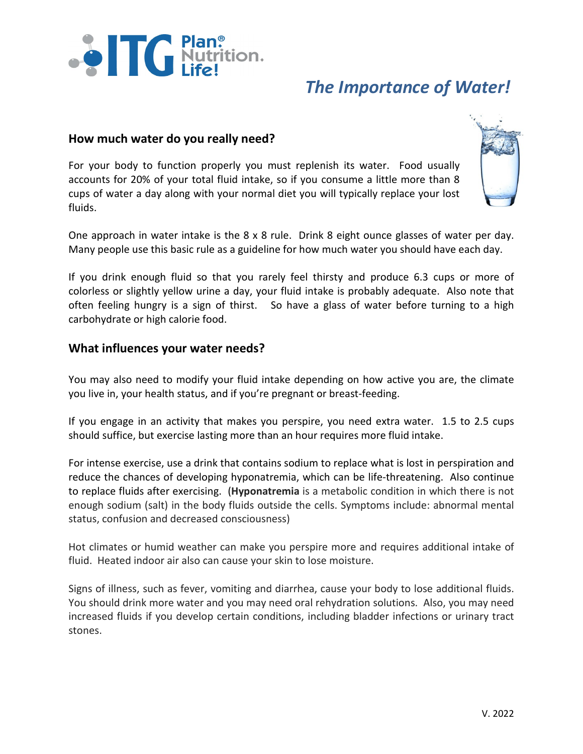

# *The Importance of Water!*

## **How much water do you really need?**

For your body to function properly you must replenish its water. Food usually accounts for 20% of your total fluid intake, so if you consume a little more than 8 cups of water a day along with your normal diet you will typically replace your lost fluids.



One approach in water intake is the 8 x 8 rule. Drink 8 eight ounce glasses of water per day. Many people use this basic rule as a guideline for how much water you should have each day.

If you drink enough fluid so that you rarely feel thirsty and produce 6.3 cups or more of colorless or slightly yellow urine a day, your fluid intake is probably adequate. Also note that often feeling hungry is a sign of thirst. So have a glass of water before turning to a high carbohydrate or high calorie food.

## **What influences your water needs?**

You may also need to modify your fluid intake depending on how active you are, the climate you live in, your health status, and if you're pregnant or breast-feeding.

If you engage in an activity that makes you perspire, you need extra water. 1.5 to 2.5 cups should suffice, but exercise lasting more than an hour requires more fluid intake.

For intense exercise, use a drink that contains sodium to replace what is lost in perspiration and reduce the chances of developing hyponatremia, which can be life-threatening. Also continue to replace fluids after exercising. (**Hyponatremia** is a metabolic condition in which there is not enough sodium (salt) in the body fluids outside the cells. Symptoms include: abnormal mental status, confusion and decreased consciousness)

Hot climates or humid weather can make you perspire more and requires additional intake of fluid. Heated indoor air also can cause your skin to lose moisture.

Signs of illness, such as fever, vomiting and diarrhea, cause your body to lose additional fluids. You should drink more water and you may need oral rehydration solutions. Also, you may need increased fluids if you develop certain conditions, including bladder infections or urinary tract stones.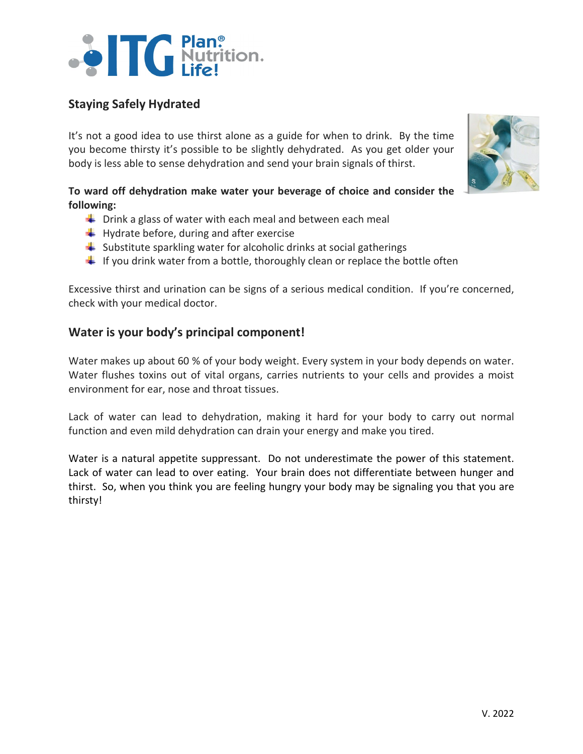# 

# **Staying Safely Hydrated**

It's not a good idea to use thirst alone as a guide for when to drink. By the time you become thirsty it's possible to be slightly dehydrated. As you get older your body is less able to sense dehydration and send your brain signals of thirst.

**To ward off dehydration make water your beverage of choice and consider the following:** 

- $\frac{1}{2}$  Drink a glass of water with each meal and between each meal
- $\bigstar$  Hydrate before, during and after exercise
- $\frac{1}{\sqrt{2}}$  Substitute sparkling water for alcoholic drinks at social gatherings
- $\downarrow$  If you drink water from a bottle, thoroughly clean or replace the bottle often

Excessive thirst and urination can be signs of a serious medical condition. If you're concerned, check with your medical doctor.

## **Water is your body's principal component!**

Water makes up about 60 % of your body weight. Every system in your body depends on water. Water flushes toxins out of vital organs, carries nutrients to your cells and provides a moist environment for ear, nose and throat tissues.

Lack of water can lead to dehydration, making it hard for your body to carry out normal function and even mild dehydration can drain your energy and make you tired.

Water is a natural appetite suppressant. Do not underestimate the power of this statement. Lack of water can lead to over eating. Your brain does not differentiate between hunger and thirst. So, when you think you are feeling hungry your body may be signaling you that you are thirsty!